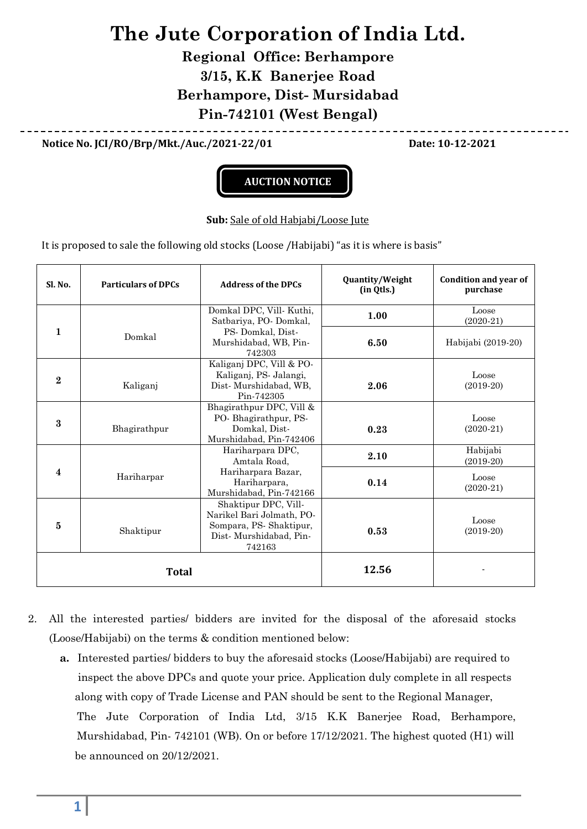## **The Jute Corporation of India Ltd.**

**Regional Office: Berhampore 3/15, K.K Banerjee Road Berhampore, Dist- Mursidabad Pin-742101 (West Bengal)**

**Notice No. JCI/RO/Brp/Mkt./Auc./2021-22/01 Date: 10-12-2021**



## **Sub:** Sale of old Habjabi/Loose Jute

It is proposed to sale the following old stocks (Loose /Habijabi) "as it is where is basis"

| Sl. No.        | <b>Particulars of DPCs</b> | <b>Address of the DPCs</b>                                                                                      | Quantity/Weight<br>(in Qtls.) | Condition and year of<br>purchase |
|----------------|----------------------------|-----------------------------------------------------------------------------------------------------------------|-------------------------------|-----------------------------------|
| 1              | Domkal                     | Domkal DPC, Vill-Kuthi,<br>Satbariya, PO-Domkal,                                                                | 1.00                          | Loose<br>$(2020-21)$              |
|                |                            | PS-Domkal, Dist-<br>Murshidabad, WB, Pin-<br>742303                                                             | 6.50                          | Habijabi (2019-20)                |
| $\overline{2}$ | Kaliganj                   | Kaliganj DPC, Vill & PO-<br>Kaliganj, PS- Jalangi,<br>Dist-Murshidabad, WB,<br>Pin-742305                       | 2.06                          | Loose<br>$(2019-20)$              |
| $\bf{3}$       | Bhagirathpur               | Bhagirathpur DPC, Vill &<br>PO-Bhagirathpur, PS-<br>Domkal, Dist-<br>Murshidabad, Pin-742406                    | 0.23                          | Loose<br>$(2020-21)$              |
| 4              |                            | Hariharpara DPC,<br>Amtala Road.                                                                                | 2.10                          | Habijabi<br>$(2019-20)$           |
|                | Hariharpar                 | Hariharpara Bazar,<br>Hariharpara,<br>Murshidabad, Pin-742166                                                   | 0.14                          | Loose<br>$(2020-21)$              |
| $\bf{5}$       | Shaktipur                  | Shaktipur DPC, Vill-<br>Narikel Bari Jolmath, PO-<br>Sompara, PS-Shaktipur,<br>Dist-Murshidabad, Pin-<br>742163 | 0.53                          | Loose<br>$(2019-20)$              |
| <b>Total</b>   |                            |                                                                                                                 | 12.56                         |                                   |

- 2. All the interested parties/ bidders are invited for the disposal of the aforesaid stocks (Loose/Habijabi) on the terms & condition mentioned below:
	- **a.** Interested parties/ bidders to buy the aforesaid stocks (Loose/Habijabi) are required to inspect the above DPCs and quote your price. Application duly complete in all respects along with copy of Trade License and PAN should be sent to the Regional Manager, The Jute Corporation of India Ltd, 3/15 K.K Banerjee Road, Berhampore, Murshidabad, Pin- 742101 (WB). On or before 17/12/2021. The highest quoted (H1) will be announced on 20/12/2021.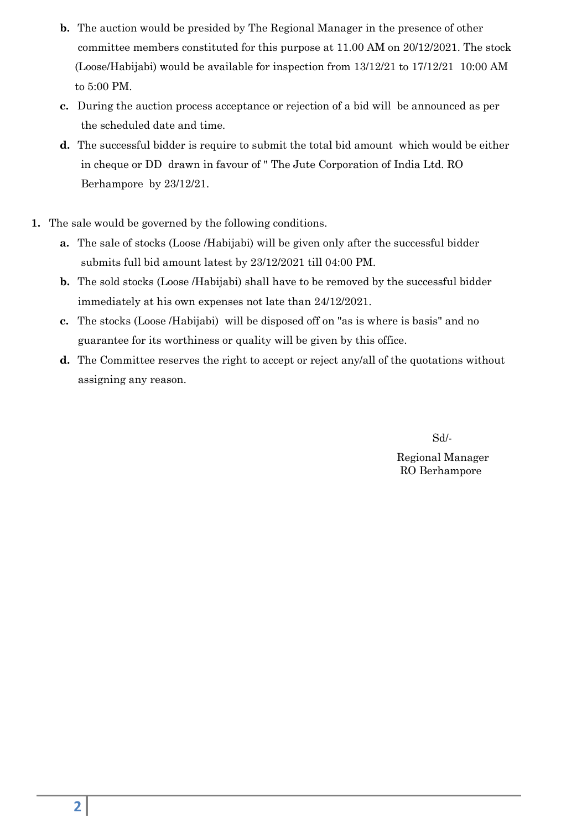- **b.** The auction would be presided by The Regional Manager in the presence of other committee members constituted for this purpose at 11.00 AM on 20/12/2021. The stock (Loose/Habijabi) would be available for inspection from 13/12/21 to 17/12/21 10:00 AM to 5:00 PM.
- **c.** During the auction process acceptance or rejection of a bid will be announced as per the scheduled date and time.
- **d.** The successful bidder is require to submit the total bid amount which would be either in cheque or DD drawn in favour of " The Jute Corporation of India Ltd. RO Berhampore by 23/12/21.
- **1.** The sale would be governed by the following conditions.
	- **a.** The sale of stocks (Loose /Habijabi) will be given only after the successful bidder submits full bid amount latest by 23/12/2021 till 04:00 PM.
	- **b.** The sold stocks (Loose /Habijabi) shall have to be removed by the successful bidder immediately at his own expenses not late than 24/12/2021.
	- **c.** The stocks (Loose /Habijabi) will be disposed off on "as is where is basis" and no guarantee for its worthiness or quality will be given by this office.
	- **d.** The Committee reserves the right to accept or reject any/all of the quotations without assigning any reason.

Sd/-

Regional Manager RO Berhampore